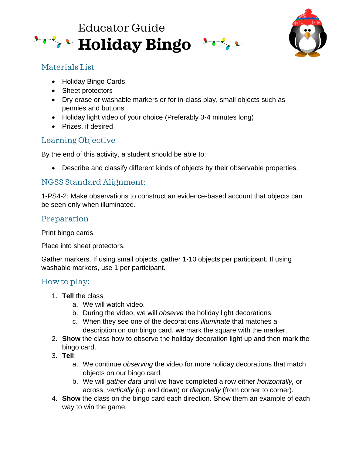



## Materials List

- Holiday Bingo Cards
- [S](https://creativecommons.org/licenses/by-nc-nd/3.0/)heet protectors
- Dry erase or washable markers or for in-class play, small objects such as pennies and buttons
- Holiday light video of your choice (Preferably 3-4 minutes long)
- Prizes, if desired

# Learning Objective

By the end of this activity, a student should be able to:

• Describe and classify different kinds of objects by their observable properties.

### NGSS Standard Alignment:

1-PS4-2: Make observations to construct an evidence-based account that objects can be seen only when illuminated.

### Preparation

Print bingo cards.

Place into sheet protectors.

Gather markers. If using small objects, gather 1-10 objects per participant. If using washable markers, use 1 per participant.

### How to play:

- 1. **Tell** the class:
	- a. We will watch video.
	- b. During the video, we will *observe* the holiday light decorations.
	- c. When they see one of the decorations *illuminate* that matches a description on our bingo card, we mark the square with the marker.
- 2. **Show** the class how to observe the holiday decoration light up and then mark the bingo card.
- 3. **Tell**:
	- a. We continue *observing* the video for more holiday decorations that match objects on our bingo card.
	- b. We will *gather data* until we have completed a row either *horizontally,* or across, *vertically* (up and down) or *diagonally* (from corner to corner).
- 4. **Show** the class on the bingo card each direction. Show them an example of each way to win the game.